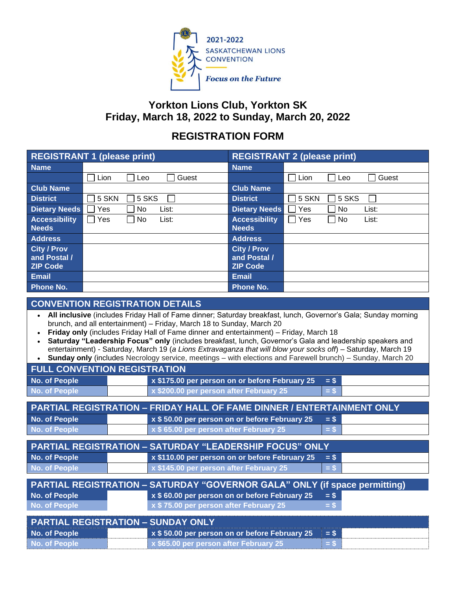

## **Yorkton Lions Club, Yorkton SK Friday, March 18, 2022 to Sunday, March 20, 2022**

## **REGISTRATION FORM**

| <b>REGISTRANT 1 (please print)</b> |                      | <b>REGISTRANT 2 (please print)</b> |                                      |  |
|------------------------------------|----------------------|------------------------------------|--------------------------------------|--|
| <b>Name</b>                        |                      | <b>Name</b>                        |                                      |  |
|                                    | Guest<br>Lion<br>Leo |                                    | Guest<br>Lion<br>Leo                 |  |
| <b>Club Name</b>                   |                      | <b>Club Name</b>                   |                                      |  |
| <b>District</b>                    | 5 SKS<br>5 SKN       | <b>District</b>                    | 5 SKS<br>5 SKN                       |  |
| <b>Dietary Needs</b>               | Yes<br>No<br>List:   | <b>Dietary Needs</b>               | Yes<br>No<br>List:                   |  |
| <b>Accessibility</b>               | No<br>Yes<br>List:   | <b>Accessibility</b>               | Yes<br>∣ No<br>List:<br>$\mathbf{I}$ |  |
| <b>Needs</b>                       |                      | <b>Needs</b>                       |                                      |  |
| <b>Address</b>                     |                      | <b>Address</b>                     |                                      |  |
| <b>City / Prov</b>                 |                      | <b>City / Prov</b>                 |                                      |  |
| and Postal /                       |                      | and Postal /                       |                                      |  |
| <b>ZIP Code</b>                    |                      | <b>ZIP Code</b>                    |                                      |  |
| <b>Email</b>                       |                      | <b>Email</b>                       |                                      |  |
| <b>Phone No.</b>                   |                      | <b>Phone No.</b>                   |                                      |  |

## **CONVENTION REGISTRATION DETAILS**

- **All inclusive** (includes Friday Hall of Fame dinner; Saturday breakfast, lunch, Governor's Gala; Sunday morning brunch, and all entertainment) – Friday, March 18 to Sunday, March 20
- **Friday only** (includes Friday Hall of Fame dinner and entertainment) Friday, March 18
- **Saturday "Leadership Focus" only** (includes breakfast, lunch, Governor's Gala and leadership speakers and entertainment) - Saturday, March 19 (*a Lions Extravaganza that will blow your socks off*) – Saturday, March 19 • **Sunday only** (includes Necrology service, meetings – with elections and Farewell brunch) – Sunday, March 20

| <b>FULL CONVENTION REGISTRATION</b>                                           |                                                                                   |  |  |  |  |  |
|-------------------------------------------------------------------------------|-----------------------------------------------------------------------------------|--|--|--|--|--|
| No. of People                                                                 | x \$175.00 per person on or before February 25<br>$=$ \$                          |  |  |  |  |  |
| <b>No. of People</b>                                                          | x \$200.00 per person after February 25<br>$=$ S                                  |  |  |  |  |  |
|                                                                               |                                                                                   |  |  |  |  |  |
| <b>PARTIAL REGISTRATION - FRIDAY HALL OF FAME DINNER / ENTERTAINMENT ONLY</b> |                                                                                   |  |  |  |  |  |
| No. of People                                                                 | x \$50.00 per person on or before February 25<br>$=$ \$                           |  |  |  |  |  |
| <b>No. of People</b>                                                          | x \$65.00 per person after February 25<br>$=$ \$                                  |  |  |  |  |  |
|                                                                               |                                                                                   |  |  |  |  |  |
| <b>PARTIAL REGISTRATION - SATURDAY "LEADERSHIP FOCUS" ONLY</b>                |                                                                                   |  |  |  |  |  |
| No. of People                                                                 | x \$110.00 per person on or before February 25<br>$=$ \$                          |  |  |  |  |  |
| <b>No. of People</b>                                                          | x \$145.00 per person after February 25<br>$=$ \$                                 |  |  |  |  |  |
|                                                                               |                                                                                   |  |  |  |  |  |
|                                                                               | <b>PARTIAL REGISTRATION - SATURDAY "GOVERNOR GALA" ONLY (if space permitting)</b> |  |  |  |  |  |
| No. of People                                                                 | x \$60.00 per person on or before February 25<br>$=$ \$                           |  |  |  |  |  |
| No. of People                                                                 | x \$75.00 per person after February 25<br>$=$ S                                   |  |  |  |  |  |
|                                                                               |                                                                                   |  |  |  |  |  |
| <b>PARTIAL REGISTRATION - SUNDAY ONLY</b>                                     |                                                                                   |  |  |  |  |  |
| No. of People                                                                 | x \$50.00 per person on or before February 25<br>$=$ \$                           |  |  |  |  |  |
| No. of People                                                                 | x \$65.00 per person after February 25<br>$=$ S                                   |  |  |  |  |  |